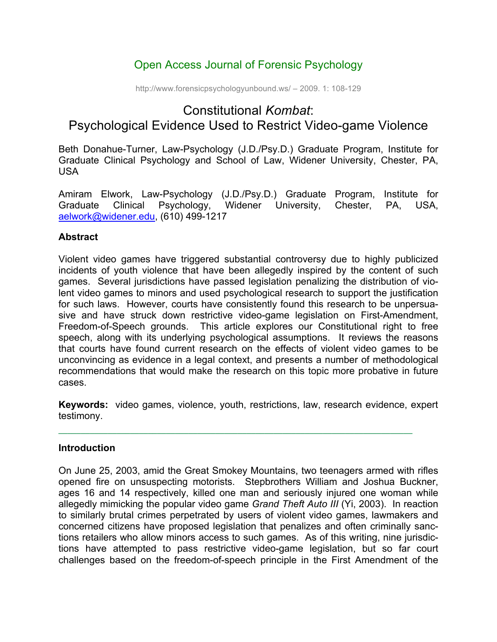# Open Access Journal of Forensic Psychology

http://www.forensicpsychologyunbound.ws/ – 2009. 1: 108-129

# Constitutional *Kombat*: Psychological Evidence Used to Restrict Video-game Violence

Beth Donahue-Turner, Law-Psychology (J.D./Psy.D.) Graduate Program, Institute for Graduate Clinical Psychology and School of Law, Widener University, Chester, PA, USA

Amiram Elwork, Law-Psychology (J.D./Psy.D.) Graduate Program, Institute for Graduate Clinical Psychology, Widener University, Chester, PA, USA, aelwork@widener.edu, (610) 499-1217

#### **Abstract**

Violent video games have triggered substantial controversy due to highly publicized incidents of youth violence that have been allegedly inspired by the content of such games. Several jurisdictions have passed legislation penalizing the distribution of violent video games to minors and used psychological research to support the justification for such laws. However, courts have consistently found this research to be unpersuasive and have struck down restrictive video-game legislation on First-Amendment, Freedom-of-Speech grounds. This article explores our Constitutional right to free speech, along with its underlying psychological assumptions. It reviews the reasons that courts have found current research on the effects of violent video games to be unconvincing as evidence in a legal context, and presents a number of methodological recommendations that would make the research on this topic more probative in future cases.

**Keywords:** video games, violence, youth, restrictions, law, research evidence, expert testimony.

#### **Introduction**

On June 25, 2003, amid the Great Smokey Mountains, two teenagers armed with rifles opened fire on unsuspecting motorists. Stepbrothers William and Joshua Buckner, ages 16 and 14 respectively, killed one man and seriously injured one woman while allegedly mimicking the popular video game *Grand Theft Auto III* (Yi, 2003). In reaction to similarly brutal crimes perpetrated by users of violent video games, lawmakers and concerned citizens have proposed legislation that penalizes and often criminally sanctions retailers who allow minors access to such games. As of this writing, nine jurisdictions have attempted to pass restrictive video-game legislation, but so far court challenges based on the freedom-of-speech principle in the First Amendment of the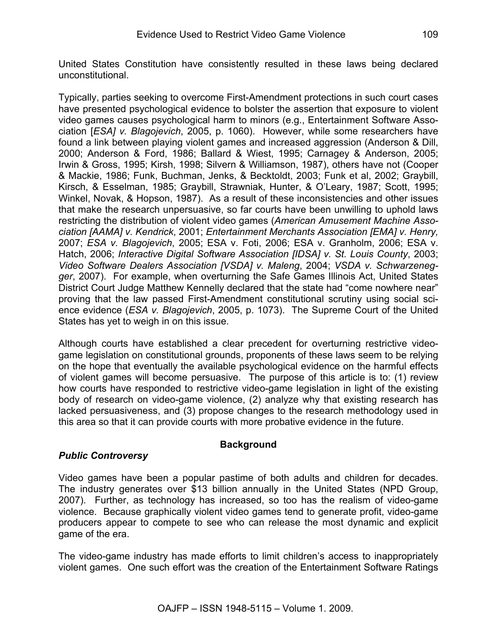United States Constitution have consistently resulted in these laws being declared unconstitutional.

Typically, parties seeking to overcome First-Amendment protections in such court cases have presented psychological evidence to bolster the assertion that exposure to violent video games causes psychological harm to minors (e.g., Entertainment Software Association [*ESA] v. Blagojevich*, 2005, p. 1060). However, while some researchers have found a link between playing violent games and increased aggression (Anderson & Dill, 2000; Anderson & Ford, 1986; Ballard & Wiest, 1995; Carnagey & Anderson, 2005; Irwin & Gross, 1995; Kirsh, 1998; Silvern & Williamson, 1987), others have not (Cooper & Mackie, 1986; Funk, Buchman, Jenks, & Becktoldt, 2003; Funk et al, 2002; Graybill, Kirsch, & Esselman, 1985; Graybill, Strawniak, Hunter, & O'Leary, 1987; Scott, 1995; Winkel, Novak, & Hopson, 1987). As a result of these inconsistencies and other issues that make the research unpersuasive, so far courts have been unwilling to uphold laws restricting the distribution of violent video games (*American Amusement Machine Association [AAMA] v. Kendrick*, 2001; *Entertainment Merchants Association [EMA] v. Henry,*  2007; *ESA v. Blagojevich*, 2005; ESA v. Foti, 2006; ESA v. Granholm, 2006; ESA v. Hatch, 2006; *Interactive Digital Software Association [IDSA] v. St. Louis County*, 2003; *Video Software Dealers Association [VSDA] v. Maleng*, 2004; *VSDA v. Schwarzenegger*, 2007). For example, when overturning the Safe Games Illinois Act, United States District Court Judge Matthew Kennelly declared that the state had "come nowhere near" proving that the law passed First-Amendment constitutional scrutiny using social science evidence (*ESA v. Blagojevich*, 2005, p. 1073). The Supreme Court of the United States has yet to weigh in on this issue.

Although courts have established a clear precedent for overturning restrictive videogame legislation on constitutional grounds, proponents of these laws seem to be relying on the hope that eventually the available psychological evidence on the harmful effects of violent games will become persuasive. The purpose of this article is to: (1) review how courts have responded to restrictive video-game legislation in light of the existing body of research on video-game violence, (2) analyze why that existing research has lacked persuasiveness, and (3) propose changes to the research methodology used in this area so that it can provide courts with more probative evidence in the future.

# **Background**

#### *Public Controversy*

Video games have been a popular pastime of both adults and children for decades. The industry generates over \$13 billion annually in the United States (NPD Group, 2007). Further, as technology has increased, so too has the realism of video-game violence. Because graphically violent video games tend to generate profit, video-game producers appear to compete to see who can release the most dynamic and explicit game of the era.

The video-game industry has made efforts to limit children's access to inappropriately violent games. One such effort was the creation of the Entertainment Software Ratings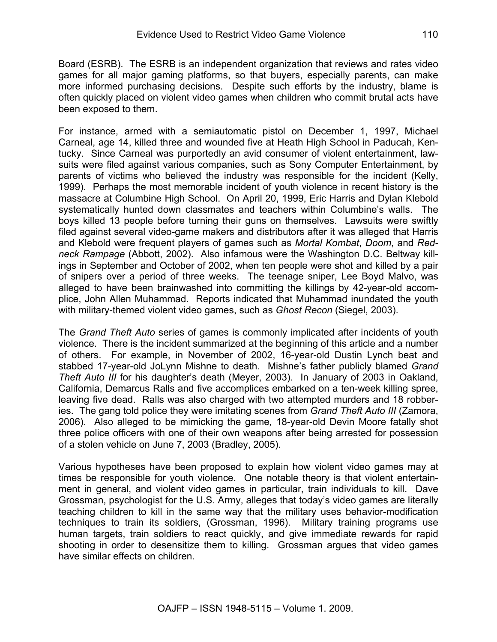Board (ESRB). The ESRB is an independent organization that reviews and rates video games for all major gaming platforms, so that buyers, especially parents, can make more informed purchasing decisions. Despite such efforts by the industry, blame is often quickly placed on violent video games when children who commit brutal acts have been exposed to them.

For instance, armed with a semiautomatic pistol on December 1, 1997, Michael Carneal, age 14, killed three and wounded five at Heath High School in Paducah, Kentucky. Since Carneal was purportedly an avid consumer of violent entertainment, lawsuits were filed against various companies, such as Sony Computer Entertainment, by parents of victims who believed the industry was responsible for the incident (Kelly, 1999). Perhaps the most memorable incident of youth violence in recent history is the massacre at Columbine High School. On April 20, 1999, Eric Harris and Dylan Klebold systematically hunted down classmates and teachers within Columbine's walls. The boys killed 13 people before turning their guns on themselves. Lawsuits were swiftly filed against several video-game makers and distributors after it was alleged that Harris and Klebold were frequent players of games such as *Mortal Kombat*, *Doom*, and *Redneck Rampage* (Abbott, 2002). Also infamous were the Washington D.C. Beltway killings in September and October of 2002, when ten people were shot and killed by a pair of snipers over a period of three weeks. The teenage sniper, Lee Boyd Malvo, was alleged to have been brainwashed into committing the killings by 42-year-old accomplice, John Allen Muhammad. Reports indicated that Muhammad inundated the youth with military-themed violent video games, such as *Ghost Recon* (Siegel, 2003).

The *Grand Theft Auto* series of games is commonly implicated after incidents of youth violence. There is the incident summarized at the beginning of this article and a number of others. For example, in November of 2002, 16-year-old Dustin Lynch beat and stabbed 17-year-old JoLynn Mishne to death. Mishne's father publicly blamed *Grand Theft Auto III* for his daughter's death (Meyer, 2003). In January of 2003 in Oakland, California, Demarcus Ralls and five accomplices embarked on a ten-week killing spree, leaving five dead. Ralls was also charged with two attempted murders and 18 robberies. The gang told police they were imitating scenes from *Grand Theft Auto III* (Zamora, 2006). Also alleged to be mimicking the game*,* 18-year-old Devin Moore fatally shot three police officers with one of their own weapons after being arrested for possession of a stolen vehicle on June 7, 2003 (Bradley, 2005).

Various hypotheses have been proposed to explain how violent video games may at times be responsible for youth violence. One notable theory is that violent entertainment in general, and violent video games in particular, train individuals to kill. Dave Grossman, psychologist for the U.S. Army, alleges that today's video games are literally teaching children to kill in the same way that the military uses behavior-modification techniques to train its soldiers, (Grossman, 1996). Military training programs use human targets, train soldiers to react quickly, and give immediate rewards for rapid shooting in order to desensitize them to killing. Grossman argues that video games have similar effects on children.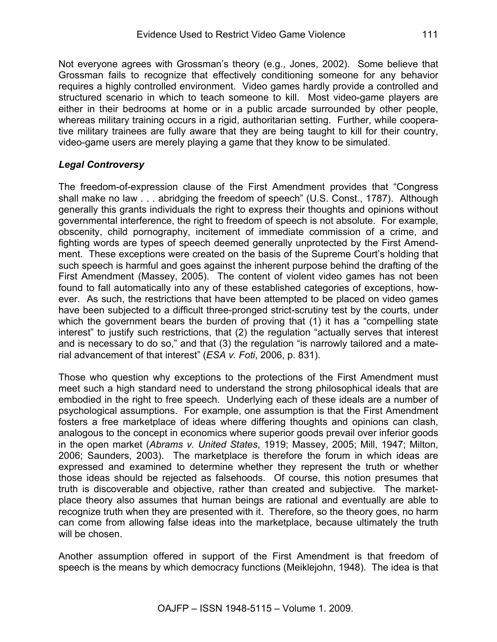Not everyone agrees with Grossman's theory (e.g., Jones, 2002). Some believe that Grossman fails to recognize that effectively conditioning someone for any behavior requires a highly controlled environment. Video games hardly provide a controlled and structured scenario in which to teach someone to kill. Most video-game players are either in their bedrooms at home or in a public arcade surrounded by other people, whereas military training occurs in a rigid, authoritarian setting. Further, while cooperative military trainees are fully aware that they are being taught to kill for their country, video-game users are merely playing a game that they know to be simulated.

#### *Legal Controversy*

The freedom-of-expression clause of the First Amendment provides that "Congress shall make no law . . . abridging the freedom of speech" (U.S. Const., 1787). Although generally this grants individuals the right to express their thoughts and opinions without governmental interference, the right to freedom of speech is not absolute. For example, obscenity, child pornography, incitement of immediate commission of a crime, and fighting words are types of speech deemed generally unprotected by the First Amendment. These exceptions were created on the basis of the Supreme Court's holding that such speech is harmful and goes against the inherent purpose behind the drafting of the First Amendment (Massey, 2005). The content of violent video games has not been found to fall automatically into any of these established categories of exceptions, however. As such, the restrictions that have been attempted to be placed on video games have been subjected to a difficult three-pronged strict-scrutiny test by the courts, under which the government bears the burden of proving that (1) it has a "compelling state interest" to justify such restrictions, that (2) the regulation "actually serves that interest and is necessary to do so," and that (3) the regulation "is narrowly tailored and a material advancement of that interest" (*ESA v. Foti*, 2006, p. 831).

Those who question why exceptions to the protections of the First Amendment must meet such a high standard need to understand the strong philosophical ideals that are embodied in the right to free speech. Underlying each of these ideals are a number of psychological assumptions. For example, one assumption is that the First Amendment fosters a free marketplace of ideas where differing thoughts and opinions can clash, analogous to the concept in economics where superior goods prevail over inferior goods in the open market (*Abrams v. United States*, 1919; Massey, 2005; Mill, 1947; Milton, 2006; Saunders, 2003). The marketplace is therefore the forum in which ideas are expressed and examined to determine whether they represent the truth or whether those ideas should be rejected as falsehoods. Of course, this notion presumes that truth is discoverable and objective, rather than created and subjective. The marketplace theory also assumes that human beings are rational and eventually are able to recognize truth when they are presented with it. Therefore, so the theory goes, no harm can come from allowing false ideas into the marketplace, because ultimately the truth will be chosen.

Another assumption offered in support of the First Amendment is that freedom of speech is the means by which democracy functions (Meiklejohn, 1948). The idea is that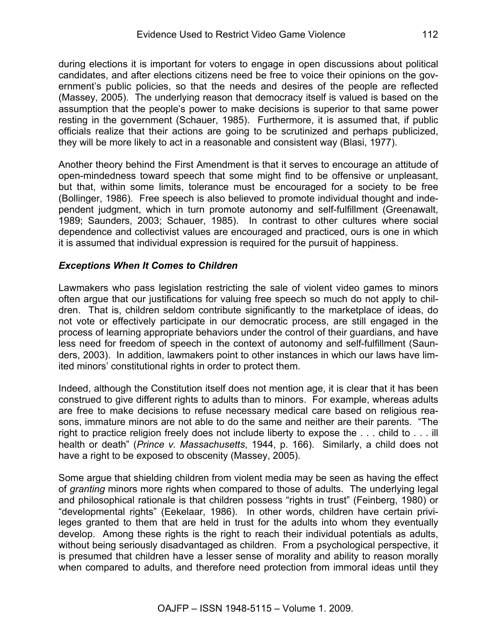during elections it is important for voters to engage in open discussions about political candidates, and after elections citizens need be free to voice their opinions on the government's public policies, so that the needs and desires of the people are reflected (Massey, 2005). The underlying reason that democracy itself is valued is based on the assumption that the people's power to make decisions is superior to that same power resting in the government (Schauer, 1985). Furthermore, it is assumed that, if public officials realize that their actions are going to be scrutinized and perhaps publicized, they will be more likely to act in a reasonable and consistent way (Blasi, 1977).

Another theory behind the First Amendment is that it serves to encourage an attitude of open-mindedness toward speech that some might find to be offensive or unpleasant, but that, within some limits, tolerance must be encouraged for a society to be free (Bollinger, 1986). Free speech is also believed to promote individual thought and independent judgment, which in turn promote autonomy and self-fulfillment (Greenawalt, 1989; Saunders, 2003; Schauer, 1985). In contrast to other cultures where social dependence and collectivist values are encouraged and practiced, ours is one in which it is assumed that individual expression is required for the pursuit of happiness.

#### *Exceptions When It Comes to Children*

Lawmakers who pass legislation restricting the sale of violent video games to minors often argue that our justifications for valuing free speech so much do not apply to children. That is, children seldom contribute significantly to the marketplace of ideas, do not vote or effectively participate in our democratic process, are still engaged in the process of learning appropriate behaviors under the control of their guardians, and have less need for freedom of speech in the context of autonomy and self-fulfillment (Saunders, 2003). In addition, lawmakers point to other instances in which our laws have limited minors' constitutional rights in order to protect them.

Indeed, although the Constitution itself does not mention age, it is clear that it has been construed to give different rights to adults than to minors. For example, whereas adults are free to make decisions to refuse necessary medical care based on religious reasons, immature minors are not able to do the same and neither are their parents. "The right to practice religion freely does not include liberty to expose the . . . child to . . . ill health or death" (*Prince v. Massachusetts*, 1944, p. 166). Similarly, a child does not have a right to be exposed to obscenity (Massey, 2005).

Some argue that shielding children from violent media may be seen as having the effect of *granting* minors more rights when compared to those of adults. The underlying legal and philosophical rationale is that children possess "rights in trust" (Feinberg, 1980) or "developmental rights" (Eekelaar, 1986). In other words, children have certain privileges granted to them that are held in trust for the adults into whom they eventually develop. Among these rights is the right to reach their individual potentials as adults, without being seriously disadvantaged as children. From a psychological perspective, it is presumed that children have a lesser sense of morality and ability to reason morally when compared to adults, and therefore need protection from immoral ideas until they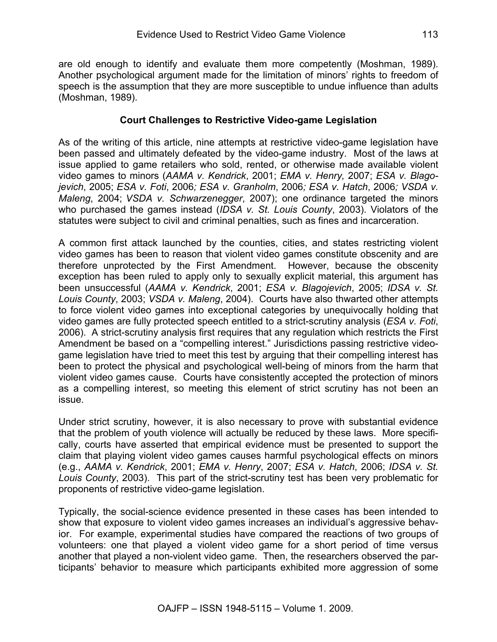are old enough to identify and evaluate them more competently (Moshman, 1989). Another psychological argument made for the limitation of minors' rights to freedom of speech is the assumption that they are more susceptible to undue influence than adults (Moshman, 1989).

#### **Court Challenges to Restrictive Video-game Legislation**

As of the writing of this article, nine attempts at restrictive video-game legislation have been passed and ultimately defeated by the video-game industry. Most of the laws at issue applied to game retailers who sold, rented, or otherwise made available violent video games to minors (*AAMA v. Kendrick*, 2001; *EMA v. Henry,* 2007; *ESA v. Blagojevich*, 2005; *ESA v. Foti*, 2006*; ESA v. Granholm*, 2006*; ESA v. Hatch*, 2006*; VSDA v. Maleng*, 2004; *VSDA v. Schwarzenegger*, 2007); one ordinance targeted the minors who purchased the games instead (*IDSA v. St. Louis County*, 2003). Violators of the statutes were subject to civil and criminal penalties, such as fines and incarceration.

A common first attack launched by the counties, cities, and states restricting violent video games has been to reason that violent video games constitute obscenity and are therefore unprotected by the First Amendment. However, because the obscenity exception has been ruled to apply only to sexually explicit material, this argument has been unsuccessful (*AAMA v. Kendrick*, 2001; *ESA v. Blagojevich*, 2005; *IDSA v. St. Louis County*, 2003; *VSDA v. Maleng*, 2004). Courts have also thwarted other attempts to force violent video games into exceptional categories by unequivocally holding that video games are fully protected speech entitled to a strict-scrutiny analysis (*ESA v. Foti*, 2006). A strict-scrutiny analysis first requires that any regulation which restricts the First Amendment be based on a "compelling interest." Jurisdictions passing restrictive videogame legislation have tried to meet this test by arguing that their compelling interest has been to protect the physical and psychological well-being of minors from the harm that violent video games cause. Courts have consistently accepted the protection of minors as a compelling interest, so meeting this element of strict scrutiny has not been an issue.

Under strict scrutiny, however, it is also necessary to prove with substantial evidence that the problem of youth violence will actually be reduced by these laws. More specifically, courts have asserted that empirical evidence must be presented to support the claim that playing violent video games causes harmful psychological effects on minors (e.g., *AAMA v. Kendrick*, 2001; *EMA v. Henry*, 2007; *ESA v. Hatch*, 2006; *IDSA v. St. Louis County*, 2003). This part of the strict-scrutiny test has been very problematic for proponents of restrictive video-game legislation.

Typically, the social-science evidence presented in these cases has been intended to show that exposure to violent video games increases an individual's aggressive behavior. For example, experimental studies have compared the reactions of two groups of volunteers: one that played a violent video game for a short period of time versus another that played a non-violent video game. Then, the researchers observed the participants' behavior to measure which participants exhibited more aggression of some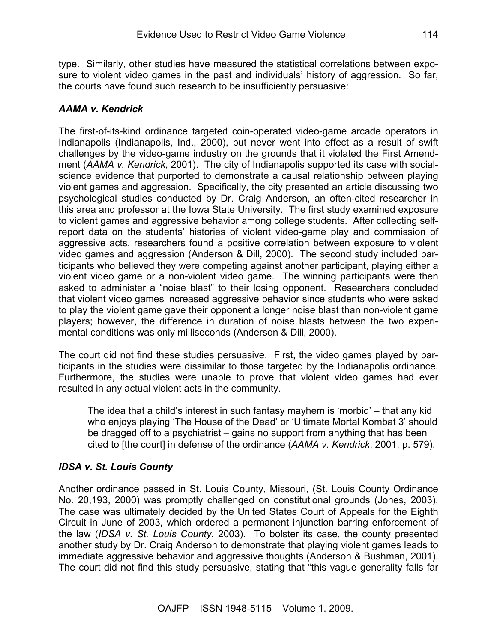type. Similarly, other studies have measured the statistical correlations between exposure to violent video games in the past and individuals' history of aggression. So far, the courts have found such research to be insufficiently persuasive:

## *AAMA v. Kendrick*

The first-of-its-kind ordinance targeted coin-operated video-game arcade operators in Indianapolis (Indianapolis, Ind., 2000), but never went into effect as a result of swift challenges by the video-game industry on the grounds that it violated the First Amendment (*AAMA v. Kendrick*, 2001). The city of Indianapolis supported its case with socialscience evidence that purported to demonstrate a causal relationship between playing violent games and aggression. Specifically, the city presented an article discussing two psychological studies conducted by Dr. Craig Anderson, an often-cited researcher in this area and professor at the Iowa State University. The first study examined exposure to violent games and aggressive behavior among college students. After collecting selfreport data on the students' histories of violent video-game play and commission of aggressive acts, researchers found a positive correlation between exposure to violent video games and aggression (Anderson & Dill, 2000). The second study included participants who believed they were competing against another participant, playing either a violent video game or a non-violent video game. The winning participants were then asked to administer a "noise blast" to their losing opponent. Researchers concluded that violent video games increased aggressive behavior since students who were asked to play the violent game gave their opponent a longer noise blast than non-violent game players; however, the difference in duration of noise blasts between the two experimental conditions was only milliseconds (Anderson & Dill, 2000).

The court did not find these studies persuasive. First, the video games played by participants in the studies were dissimilar to those targeted by the Indianapolis ordinance. Furthermore, the studies were unable to prove that violent video games had ever resulted in any actual violent acts in the community.

The idea that a child's interest in such fantasy mayhem is 'morbid' – that any kid who enjoys playing 'The House of the Dead' or 'Ultimate Mortal Kombat 3' should be dragged off to a psychiatrist – gains no support from anything that has been cited to [the court] in defense of the ordinance (*AAMA v. Kendrick*, 2001, p. 579).

#### *IDSA v. St. Louis County*

Another ordinance passed in St. Louis County, Missouri, (St. Louis County Ordinance No. 20,193, 2000) was promptly challenged on constitutional grounds (Jones, 2003). The case was ultimately decided by the United States Court of Appeals for the Eighth Circuit in June of 2003, which ordered a permanent injunction barring enforcement of the law (*IDSA v. St. Louis County*, 2003). To bolster its case, the county presented another study by Dr. Craig Anderson to demonstrate that playing violent games leads to immediate aggressive behavior and aggressive thoughts (Anderson & Bushman, 2001). The court did not find this study persuasive, stating that "this vague generality falls far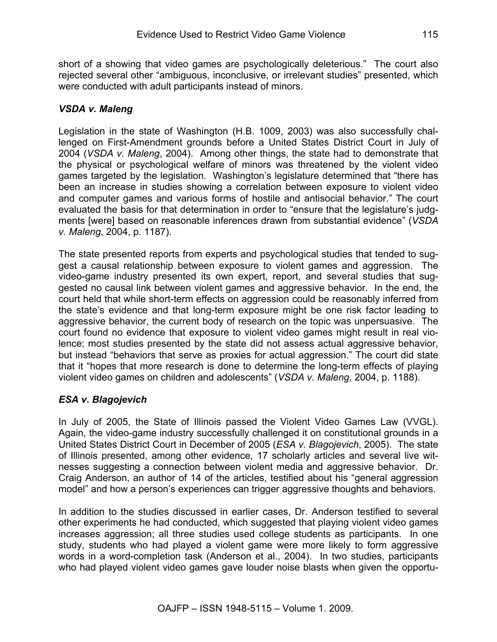short of a showing that video games are psychologically deleterious." The court also rejected several other "ambiguous, inconclusive, or irrelevant studies" presented, which were conducted with adult participants instead of minors.

#### *VSDA v. Maleng*

Legislation in the state of Washington (H.B. 1009, 2003) was also successfully challenged on First-Amendment grounds before a United States District Court in July of 2004 (*VSDA v. Maleng*, 2004). Among other things, the state had to demonstrate that the physical or psychological welfare of minors was threatened by the violent video games targeted by the legislation. Washington's legislature determined that "there has been an increase in studies showing a correlation between exposure to violent video and computer games and various forms of hostile and antisocial behavior." The court evaluated the basis for that determination in order to "ensure that the legislature's judgments [were] based on reasonable inferences drawn from substantial evidence" (*VSDA v. Maleng*, 2004, p. 1187).

The state presented reports from experts and psychological studies that tended to suggest a causal relationship between exposure to violent games and aggression. The video-game industry presented its own expert, report, and several studies that suggested no causal link between violent games and aggressive behavior. In the end, the court held that while short-term effects on aggression could be reasonably inferred from the state's evidence and that long-term exposure might be one risk factor leading to aggressive behavior, the current body of research on the topic was unpersuasive. The court found no evidence that exposure to violent video games might result in real violence; most studies presented by the state did not assess actual aggressive behavior, but instead "behaviors that serve as proxies for actual aggression." The court did state that it "hopes that more research is done to determine the long-term effects of playing violent video games on children and adolescents" (*VSDA v. Maleng*, 2004, p. 1188).

# *ESA v. Blagojevich*

In July of 2005, the State of Illinois passed the Violent Video Games Law (VVGL). Again, the video-game industry successfully challenged it on constitutional grounds in a United States District Court in December of 2005 (*ESA v. Blagojevich*, 2005). The state of Illinois presented, among other evidence, 17 scholarly articles and several live witnesses suggesting a connection between violent media and aggressive behavior. Dr. Craig Anderson, an author of 14 of the articles, testified about his "general aggression model" and how a person's experiences can trigger aggressive thoughts and behaviors.

In addition to the studies discussed in earlier cases, Dr. Anderson testified to several other experiments he had conducted, which suggested that playing violent video games increases aggression; all three studies used college students as participants. In one study, students who had played a violent game were more likely to form aggressive words in a word-completion task (Anderson et al., 2004). In two studies, participants who had played violent video games gave louder noise blasts when given the opportu-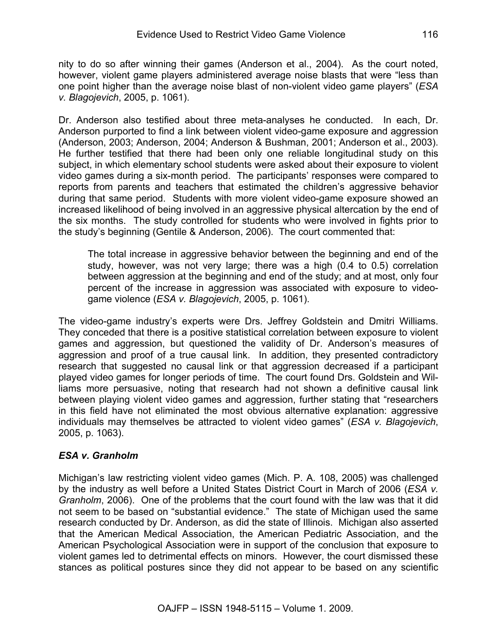nity to do so after winning their games (Anderson et al., 2004). As the court noted, however, violent game players administered average noise blasts that were "less than one point higher than the average noise blast of non-violent video game players" (*ESA v. Blagojevich*, 2005, p. 1061).

Dr. Anderson also testified about three meta-analyses he conducted. In each, Dr. Anderson purported to find a link between violent video-game exposure and aggression (Anderson, 2003; Anderson, 2004; Anderson & Bushman, 2001; Anderson et al., 2003). He further testified that there had been only one reliable longitudinal study on this subject, in which elementary school students were asked about their exposure to violent video games during a six-month period. The participants' responses were compared to reports from parents and teachers that estimated the children's aggressive behavior during that same period. Students with more violent video-game exposure showed an increased likelihood of being involved in an aggressive physical altercation by the end of the six months. The study controlled for students who were involved in fights prior to the study's beginning (Gentile & Anderson, 2006). The court commented that:

The total increase in aggressive behavior between the beginning and end of the study, however, was not very large; there was a high (0.4 to 0.5) correlation between aggression at the beginning and end of the study; and at most, only four percent of the increase in aggression was associated with exposure to videogame violence (*ESA v. Blagojevich*, 2005, p. 1061).

The video-game industry's experts were Drs. Jeffrey Goldstein and Dmitri Williams. They conceded that there is a positive statistical correlation between exposure to violent games and aggression, but questioned the validity of Dr. Anderson's measures of aggression and proof of a true causal link. In addition, they presented contradictory research that suggested no causal link or that aggression decreased if a participant played video games for longer periods of time. The court found Drs. Goldstein and Williams more persuasive, noting that research had not shown a definitive causal link between playing violent video games and aggression, further stating that "researchers in this field have not eliminated the most obvious alternative explanation: aggressive individuals may themselves be attracted to violent video games" (*ESA v. Blagojevich*, 2005, p. 1063).

#### *ESA v. Granholm*

Michigan's law restricting violent video games (Mich. P. A. 108, 2005) was challenged by the industry as well before a United States District Court in March of 2006 (*ESA v. Granholm*, 2006). One of the problems that the court found with the law was that it did not seem to be based on "substantial evidence." The state of Michigan used the same research conducted by Dr. Anderson, as did the state of Illinois. Michigan also asserted that the American Medical Association, the American Pediatric Association, and the American Psychological Association were in support of the conclusion that exposure to violent games led to detrimental effects on minors. However, the court dismissed these stances as political postures since they did not appear to be based on any scientific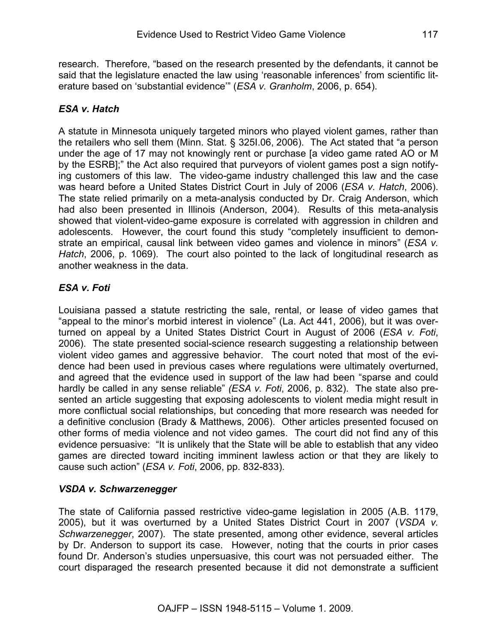research. Therefore, "based on the research presented by the defendants, it cannot be said that the legislature enacted the law using 'reasonable inferences' from scientific literature based on 'substantial evidence'" (*ESA v. Granholm*, 2006, p. 654).

# *ESA v. Hatch*

A statute in Minnesota uniquely targeted minors who played violent games, rather than the retailers who sell them (Minn. Stat. § 325I.06, 2006). The Act stated that "a person under the age of 17 may not knowingly rent or purchase [a video game rated AO or M by the ESRB];" the Act also required that purveyors of violent games post a sign notifying customers of this law. The video-game industry challenged this law and the case was heard before a United States District Court in July of 2006 (*ESA v. Hatch*, 2006). The state relied primarily on a meta-analysis conducted by Dr. Craig Anderson, which had also been presented in Illinois (Anderson, 2004). Results of this meta-analysis showed that violent-video-game exposure is correlated with aggression in children and adolescents. However, the court found this study "completely insufficient to demonstrate an empirical, causal link between video games and violence in minors" (*ESA v. Hatch*, 2006, p. 1069). The court also pointed to the lack of longitudinal research as another weakness in the data.

# *ESA v. Foti*

Louisiana passed a statute restricting the sale, rental, or lease of video games that "appeal to the minor's morbid interest in violence" (La. Act 441, 2006), but it was overturned on appeal by a United States District Court in August of 2006 (*ESA v. Foti*, 2006). The state presented social-science research suggesting a relationship between violent video games and aggressive behavior. The court noted that most of the evidence had been used in previous cases where regulations were ultimately overturned, and agreed that the evidence used in support of the law had been "sparse and could hardly be called in any sense reliable" *(ESA v. Foti*, 2006, p. 832). The state also presented an article suggesting that exposing adolescents to violent media might result in more conflictual social relationships, but conceding that more research was needed for a definitive conclusion (Brady & Matthews, 2006). Other articles presented focused on other forms of media violence and not video games. The court did not find any of this evidence persuasive: "It is unlikely that the State will be able to establish that any video games are directed toward inciting imminent lawless action or that they are likely to cause such action" (*ESA v. Foti*, 2006, pp. 832-833).

# *VSDA v. Schwarzenegger*

The state of California passed restrictive video-game legislation in 2005 (A.B. 1179, 2005), but it was overturned by a United States District Court in 2007 (*VSDA v. Schwarzenegger*, 2007). The state presented, among other evidence, several articles by Dr. Anderson to support its case. However, noting that the courts in prior cases found Dr. Anderson's studies unpersuasive, this court was not persuaded either. The court disparaged the research presented because it did not demonstrate a sufficient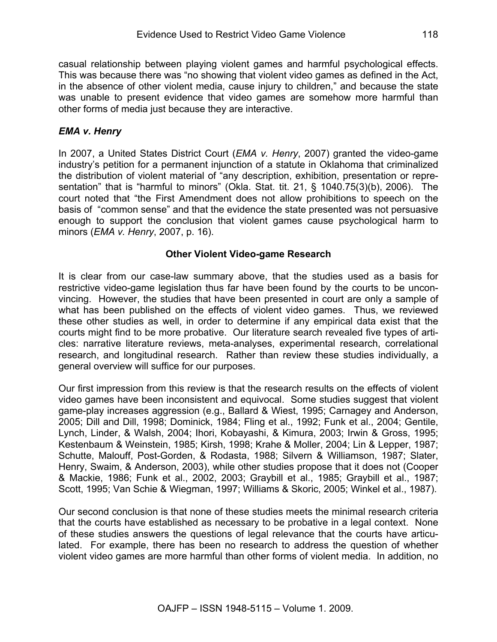casual relationship between playing violent games and harmful psychological effects. This was because there was "no showing that violent video games as defined in the Act, in the absence of other violent media, cause injury to children," and because the state was unable to present evidence that video games are somehow more harmful than other forms of media just because they are interactive.

## *EMA v. Henry*

In 2007, a United States District Court (*EMA v. Henry*, 2007) granted the video-game industry's petition for a permanent injunction of a statute in Oklahoma that criminalized the distribution of violent material of "any description, exhibition, presentation or representation" that is "harmful to minors" (Okla. Stat. tit. 21, § 1040.75(3)(b), 2006). The court noted that "the First Amendment does not allow prohibitions to speech on the basis of "common sense" and that the evidence the state presented was not persuasive enough to support the conclusion that violent games cause psychological harm to minors (*EMA v. Henry*, 2007, p. 16).

#### **Other Violent Video-game Research**

It is clear from our case-law summary above, that the studies used as a basis for restrictive video-game legislation thus far have been found by the courts to be unconvincing. However, the studies that have been presented in court are only a sample of what has been published on the effects of violent video games. Thus, we reviewed these other studies as well, in order to determine if any empirical data exist that the courts might find to be more probative. Our literature search revealed five types of articles: narrative literature reviews, meta-analyses, experimental research, correlational research, and longitudinal research. Rather than review these studies individually, a general overview will suffice for our purposes.

Our first impression from this review is that the research results on the effects of violent video games have been inconsistent and equivocal. Some studies suggest that violent game-play increases aggression (e.g., Ballard & Wiest, 1995; Carnagey and Anderson, 2005; Dill and Dill, 1998; Dominick, 1984; Fling et al., 1992; Funk et al., 2004; Gentile, Lynch, Linder, & Walsh, 2004; Ihori, Kobayashi, & Kimura, 2003; Irwin & Gross, 1995; Kestenbaum & Weinstein, 1985; Kirsh, 1998; Krahe & Moller, 2004; Lin & Lepper, 1987; Schutte, Malouff, Post-Gorden, & Rodasta, 1988; Silvern & Williamson, 1987; Slater, Henry, Swaim, & Anderson, 2003), while other studies propose that it does not (Cooper & Mackie, 1986; Funk et al., 2002, 2003; Graybill et al., 1985; Graybill et al., 1987; Scott, 1995; Van Schie & Wiegman, 1997; Williams & Skoric, 2005; Winkel et al., 1987).

Our second conclusion is that none of these studies meets the minimal research criteria that the courts have established as necessary to be probative in a legal context. None of these studies answers the questions of legal relevance that the courts have articulated. For example, there has been no research to address the question of whether violent video games are more harmful than other forms of violent media. In addition, no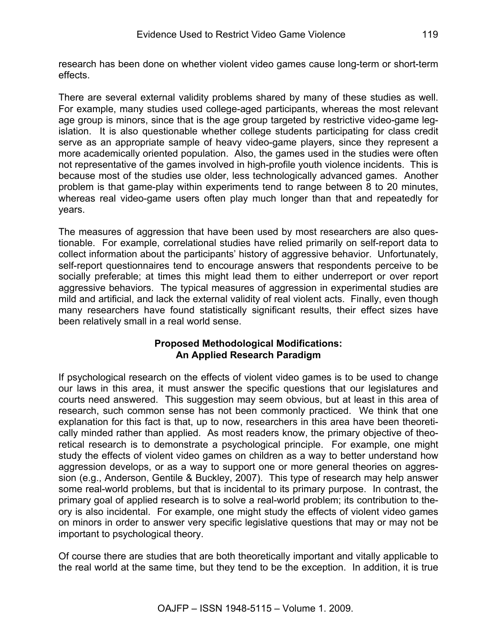research has been done on whether violent video games cause long-term or short-term effects.

There are several external validity problems shared by many of these studies as well. For example, many studies used college-aged participants, whereas the most relevant age group is minors, since that is the age group targeted by restrictive video-game legislation. It is also questionable whether college students participating for class credit serve as an appropriate sample of heavy video-game players, since they represent a more academically oriented population. Also, the games used in the studies were often not representative of the games involved in high-profile youth violence incidents. This is because most of the studies use older, less technologically advanced games. Another problem is that game-play within experiments tend to range between 8 to 20 minutes, whereas real video-game users often play much longer than that and repeatedly for years.

The measures of aggression that have been used by most researchers are also questionable. For example, correlational studies have relied primarily on self-report data to collect information about the participants' history of aggressive behavior. Unfortunately, self-report questionnaires tend to encourage answers that respondents perceive to be socially preferable; at times this might lead them to either underreport or over report aggressive behaviors. The typical measures of aggression in experimental studies are mild and artificial, and lack the external validity of real violent acts. Finally, even though many researchers have found statistically significant results, their effect sizes have been relatively small in a real world sense.

#### **Proposed Methodological Modifications: An Applied Research Paradigm**

If psychological research on the effects of violent video games is to be used to change our laws in this area, it must answer the specific questions that our legislatures and courts need answered. This suggestion may seem obvious, but at least in this area of research, such common sense has not been commonly practiced. We think that one explanation for this fact is that, up to now, researchers in this area have been theoretically minded rather than applied. As most readers know, the primary objective of theoretical research is to demonstrate a psychological principle. For example, one might study the effects of violent video games on children as a way to better understand how aggression develops, or as a way to support one or more general theories on aggression (e.g., Anderson, Gentile & Buckley, 2007). This type of research may help answer some real-world problems, but that is incidental to its primary purpose. In contrast, the primary goal of applied research is to solve a real-world problem; its contribution to theory is also incidental. For example, one might study the effects of violent video games on minors in order to answer very specific legislative questions that may or may not be important to psychological theory.

Of course there are studies that are both theoretically important and vitally applicable to the real world at the same time, but they tend to be the exception. In addition, it is true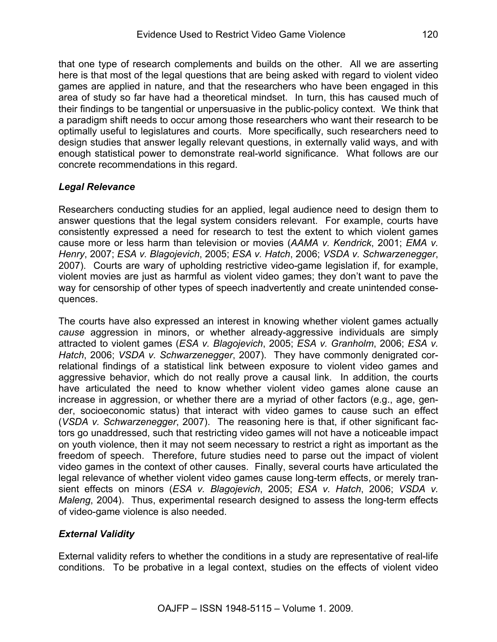that one type of research complements and builds on the other. All we are asserting here is that most of the legal questions that are being asked with regard to violent video games are applied in nature, and that the researchers who have been engaged in this area of study so far have had a theoretical mindset. In turn, this has caused much of their findings to be tangential or unpersuasive in the public-policy context. We think that a paradigm shift needs to occur among those researchers who want their research to be optimally useful to legislatures and courts. More specifically, such researchers need to design studies that answer legally relevant questions, in externally valid ways, and with enough statistical power to demonstrate real-world significance. What follows are our concrete recommendations in this regard.

### *Legal Relevance*

Researchers conducting studies for an applied, legal audience need to design them to answer questions that the legal system considers relevant. For example, courts have consistently expressed a need for research to test the extent to which violent games cause more or less harm than television or movies (*AAMA v. Kendrick*, 2001; *EMA v. Henry*, 2007; *ESA v. Blagojevich*, 2005; *ESA v. Hatch*, 2006; *VSDA v. Schwarzenegger*, 2007). Courts are wary of upholding restrictive video-game legislation if, for example, violent movies are just as harmful as violent video games; they don't want to pave the way for censorship of other types of speech inadvertently and create unintended consequences.

The courts have also expressed an interest in knowing whether violent games actually *cause* aggression in minors, or whether already-aggressive individuals are simply attracted to violent games (*ESA v. Blagojevich*, 2005; *ESA v. Granholm*, 2006; *ESA v. Hatch*, 2006; *VSDA v. Schwarzenegger*, 2007). They have commonly denigrated correlational findings of a statistical link between exposure to violent video games and aggressive behavior, which do not really prove a causal link. In addition, the courts have articulated the need to know whether violent video games alone cause an increase in aggression, or whether there are a myriad of other factors (e.g., age, gender, socioeconomic status) that interact with video games to cause such an effect (*VSDA v. Schwarzenegger*, 2007). The reasoning here is that, if other significant factors go unaddressed, such that restricting video games will not have a noticeable impact on youth violence, then it may not seem necessary to restrict a right as important as the freedom of speech. Therefore, future studies need to parse out the impact of violent video games in the context of other causes. Finally, several courts have articulated the legal relevance of whether violent video games cause long-term effects, or merely transient effects on minors (*ESA v. Blagojevich*, 2005; *ESA v. Hatch*, 2006; *VSDA v. Maleng*, 2004). Thus, experimental research designed to assess the long-term effects of video-game violence is also needed.

# *External Validity*

External validity refers to whether the conditions in a study are representative of real-life conditions. To be probative in a legal context, studies on the effects of violent video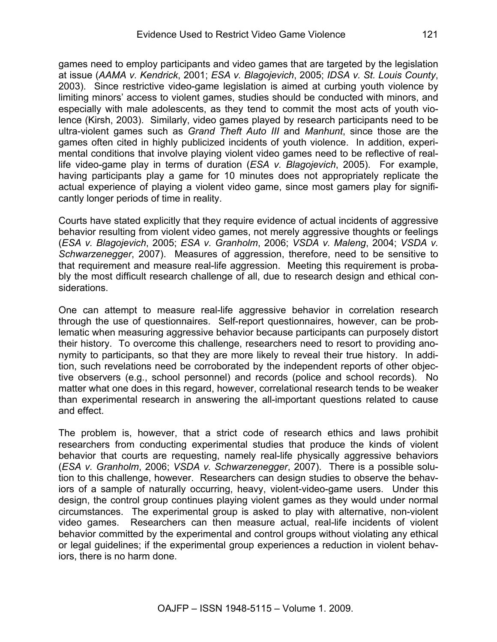games need to employ participants and video games that are targeted by the legislation at issue (*AAMA v. Kendrick*, 2001; *ESA v. Blagojevich*, 2005; *IDSA v. St. Louis County*, 2003). Since restrictive video-game legislation is aimed at curbing youth violence by limiting minors' access to violent games, studies should be conducted with minors, and especially with male adolescents, as they tend to commit the most acts of youth violence (Kirsh, 2003). Similarly, video games played by research participants need to be ultra-violent games such as *Grand Theft Auto III* and *Manhunt*, since those are the games often cited in highly publicized incidents of youth violence. In addition, experimental conditions that involve playing violent video games need to be reflective of reallife video-game play in terms of duration (*ESA v. Blagojevich*, 2005). For example, having participants play a game for 10 minutes does not appropriately replicate the actual experience of playing a violent video game, since most gamers play for significantly longer periods of time in reality.

Courts have stated explicitly that they require evidence of actual incidents of aggressive behavior resulting from violent video games, not merely aggressive thoughts or feelings (*ESA v. Blagojevich*, 2005; *ESA v. Granholm*, 2006; *VSDA v. Maleng*, 2004; *VSDA v. Schwarzenegger*, 2007). Measures of aggression, therefore, need to be sensitive to that requirement and measure real-life aggression. Meeting this requirement is probably the most difficult research challenge of all, due to research design and ethical considerations.

One can attempt to measure real-life aggressive behavior in correlation research through the use of questionnaires. Self-report questionnaires, however, can be problematic when measuring aggressive behavior because participants can purposely distort their history. To overcome this challenge, researchers need to resort to providing anonymity to participants, so that they are more likely to reveal their true history. In addition, such revelations need be corroborated by the independent reports of other objective observers (e.g., school personnel) and records (police and school records). No matter what one does in this regard, however, correlational research tends to be weaker than experimental research in answering the all-important questions related to cause and effect.

The problem is, however, that a strict code of research ethics and laws prohibit researchers from conducting experimental studies that produce the kinds of violent behavior that courts are requesting, namely real-life physically aggressive behaviors (*ESA v. Granholm*, 2006; *VSDA v. Schwarzenegger*, 2007). There is a possible solution to this challenge, however. Researchers can design studies to observe the behaviors of a sample of naturally occurring, heavy, violent-video-game users. Under this design, the control group continues playing violent games as they would under normal circumstances. The experimental group is asked to play with alternative, non-violent video games. Researchers can then measure actual, real-life incidents of violent behavior committed by the experimental and control groups without violating any ethical or legal guidelines; if the experimental group experiences a reduction in violent behaviors, there is no harm done.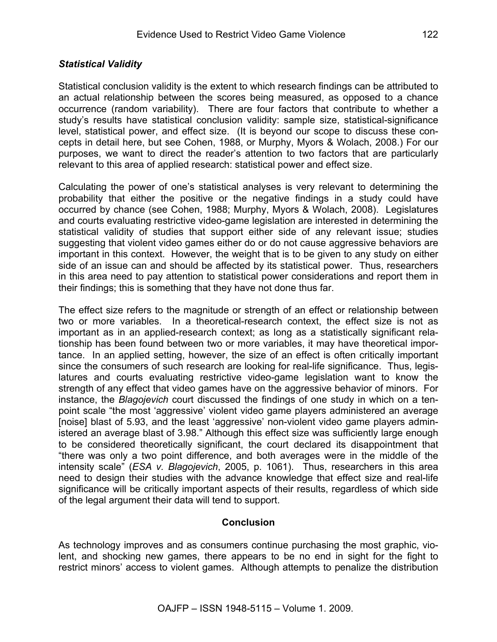Statistical conclusion validity is the extent to which research findings can be attributed to an actual relationship between the scores being measured, as opposed to a chance occurrence (random variability). There are four factors that contribute to whether a study's results have statistical conclusion validity: sample size, statistical-significance level, statistical power, and effect size. (It is beyond our scope to discuss these concepts in detail here, but see Cohen, 1988, or Murphy, Myors & Wolach, 2008.) For our purposes, we want to direct the reader's attention to two factors that are particularly relevant to this area of applied research: statistical power and effect size.

Calculating the power of one's statistical analyses is very relevant to determining the probability that either the positive or the negative findings in a study could have occurred by chance (see Cohen, 1988; Murphy, Myors & Wolach, 2008). Legislatures and courts evaluating restrictive video-game legislation are interested in determining the statistical validity of studies that support either side of any relevant issue; studies suggesting that violent video games either do or do not cause aggressive behaviors are important in this context. However, the weight that is to be given to any study on either side of an issue can and should be affected by its statistical power. Thus, researchers in this area need to pay attention to statistical power considerations and report them in their findings; this is something that they have not done thus far.

The effect size refers to the magnitude or strength of an effect or relationship between two or more variables. In a theoretical-research context, the effect size is not as important as in an applied-research context; as long as a statistically significant relationship has been found between two or more variables, it may have theoretical importance. In an applied setting, however, the size of an effect is often critically important since the consumers of such research are looking for real-life significance. Thus, legislatures and courts evaluating restrictive video-game legislation want to know the strength of any effect that video games have on the aggressive behavior of minors. For instance, the *Blagojevich* court discussed the findings of one study in which on a tenpoint scale "the most 'aggressive' violent video game players administered an average [noise] blast of 5.93, and the least 'aggressive' non-violent video game players administered an average blast of 3.98." Although this effect size was sufficiently large enough to be considered theoretically significant, the court declared its disappointment that "there was only a two point difference, and both averages were in the middle of the intensity scale" (*ESA v. Blagojevich*, 2005, p. 1061). Thus, researchers in this area need to design their studies with the advance knowledge that effect size and real-life significance will be critically important aspects of their results, regardless of which side of the legal argument their data will tend to support.

#### **Conclusion**

As technology improves and as consumers continue purchasing the most graphic, violent, and shocking new games, there appears to be no end in sight for the fight to restrict minors' access to violent games. Although attempts to penalize the distribution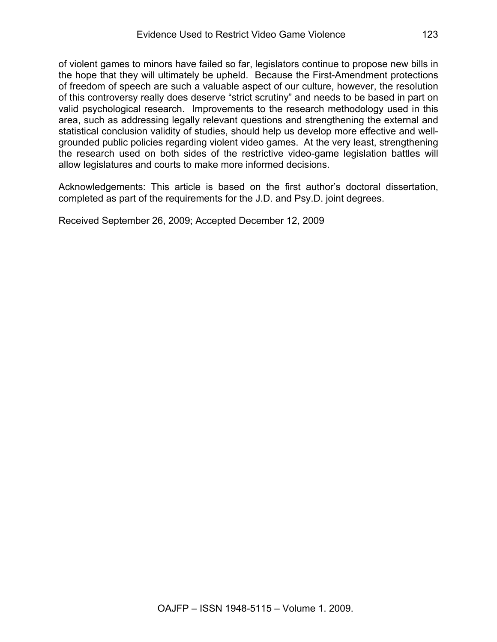of violent games to minors have failed so far, legislators continue to propose new bills in the hope that they will ultimately be upheld. Because the First-Amendment protections of freedom of speech are such a valuable aspect of our culture, however, the resolution of this controversy really does deserve "strict scrutiny" and needs to be based in part on valid psychological research. Improvements to the research methodology used in this area, such as addressing legally relevant questions and strengthening the external and statistical conclusion validity of studies, should help us develop more effective and wellgrounded public policies regarding violent video games. At the very least, strengthening the research used on both sides of the restrictive video-game legislation battles will allow legislatures and courts to make more informed decisions.

Acknowledgements: This article is based on the first author's doctoral dissertation, completed as part of the requirements for the J.D. and Psy.D. joint degrees.

Received September 26, 2009; Accepted December 12, 2009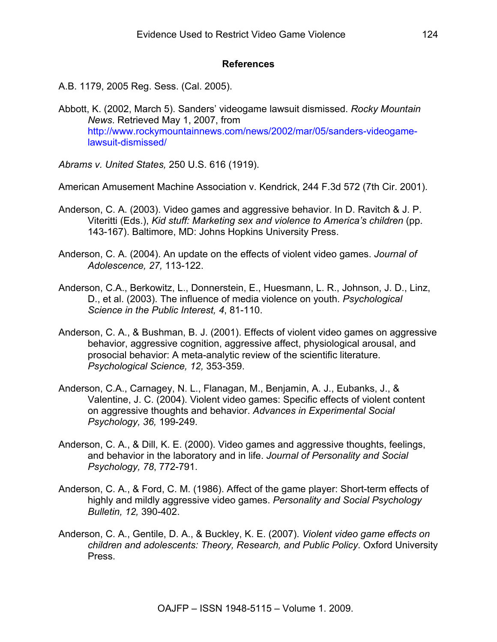#### **References**

- A.B. 1179, 2005 Reg. Sess. (Cal. 2005).
- Abbott, K. (2002, March 5). Sanders' videogame lawsuit dismissed. *Rocky Mountain News*. Retrieved May 1, 2007, from http://www.rockymountainnews.com/news/2002/mar/05/sanders-videogamelawsuit-dismissed/
- *Abrams v. United States,* 250 U.S. 616 (1919).

American Amusement Machine Association v. Kendrick, 244 F.3d 572 (7th Cir. 2001).

- Anderson, C. A. (2003). Video games and aggressive behavior. In D. Ravitch & J. P. Viteritti (Eds.), *Kid stuff: Marketing sex and violence to America's children* (pp. 143-167). Baltimore, MD: Johns Hopkins University Press.
- Anderson, C. A. (2004). An update on the effects of violent video games. *Journal of Adolescence, 27,* 113-122.
- Anderson, C.A., Berkowitz, L., Donnerstein, E., Huesmann, L. R., Johnson, J. D., Linz, D., et al. (2003). The influence of media violence on youth. *Psychological Science in the Public Interest, 4*, 81-110.
- Anderson, C. A., & Bushman, B. J. (2001). Effects of violent video games on aggressive behavior, aggressive cognition, aggressive affect, physiological arousal, and prosocial behavior: A meta-analytic review of the scientific literature. *Psychological Science, 12,* 353-359.
- Anderson, C.A., Carnagey, N. L., Flanagan, M., Benjamin, A. J., Eubanks, J., & Valentine, J. C. (2004). Violent video games: Specific effects of violent content on aggressive thoughts and behavior. *Advances in Experimental Social Psychology, 36,* 199-249.
- Anderson, C. A., & Dill, K. E. (2000). Video games and aggressive thoughts, feelings, and behavior in the laboratory and in life. *Journal of Personality and Social Psychology, 78*, 772-791.
- Anderson, C. A., & Ford, C. M. (1986). Affect of the game player: Short-term effects of highly and mildly aggressive video games. *Personality and Social Psychology Bulletin, 12,* 390-402.
- Anderson, C. A., Gentile, D. A., & Buckley, K. E. (2007). *Violent video game effects on children and adolescents: Theory, Research, and Public Policy*. Oxford University Press.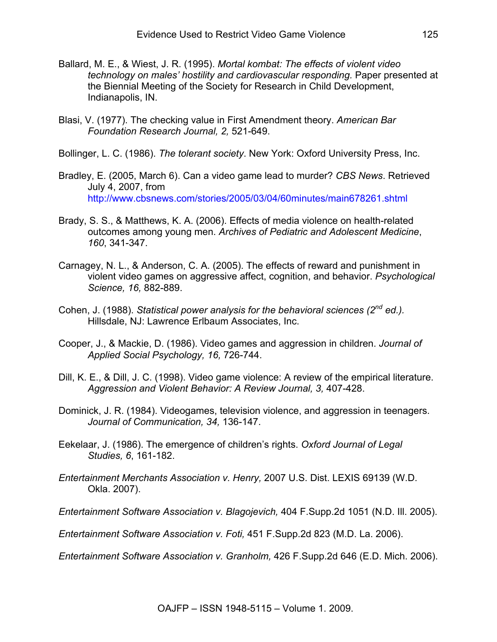- Ballard, M. E., & Wiest, J. R. (1995). *Mortal kombat: The effects of violent video technology on males' hostility and cardiovascular responding.* Paper presented at the Biennial Meeting of the Society for Research in Child Development, Indianapolis, IN.
- Blasi, V. (1977). The checking value in First Amendment theory. *American Bar Foundation Research Journal, 2,* 521-649.
- Bollinger, L. C. (1986). *The tolerant society*. New York: Oxford University Press, Inc.
- Bradley, E. (2005, March 6). Can a video game lead to murder? *CBS News*. Retrieved July 4, 2007, from http://www.cbsnews.com/stories/2005/03/04/60minutes/main678261.shtml
- Brady, S. S., & Matthews, K. A. (2006). Effects of media violence on health-related outcomes among young men. *Archives of Pediatric and Adolescent Medicine*, *160*, 341-347.
- Carnagey, N. L., & Anderson, C. A. (2005). The effects of reward and punishment in violent video games on aggressive affect, cognition, and behavior. *Psychological Science, 16,* 882-889.
- Cohen, J. (1988). *Statistical power analysis for the behavioral sciences (2nd ed.).* Hillsdale, NJ: Lawrence Erlbaum Associates, Inc.
- Cooper, J., & Mackie, D. (1986). Video games and aggression in children. *Journal of Applied Social Psychology, 16,* 726-744.
- Dill, K. E., & Dill, J. C. (1998). Video game violence: A review of the empirical literature. *Aggression and Violent Behavior: A Review Journal, 3,* 407-428.
- Dominick, J. R. (1984). Videogames, television violence, and aggression in teenagers. *Journal of Communication, 34,* 136-147.
- Eekelaar, J. (1986). The emergence of children's rights. *Oxford Journal of Legal Studies, 6*, 161-182.
- *Entertainment Merchants Association v. Henry,* 2007 U.S. Dist. LEXIS 69139 (W.D. Okla. 2007).
- *Entertainment Software Association v. Blagojevich,* 404 F.Supp.2d 1051 (N.D. Ill. 2005).

*Entertainment Software Association v. Foti,* 451 F.Supp.2d 823 (M.D. La. 2006).

*Entertainment Software Association v. Granholm,* 426 F.Supp.2d 646 (E.D. Mich. 2006).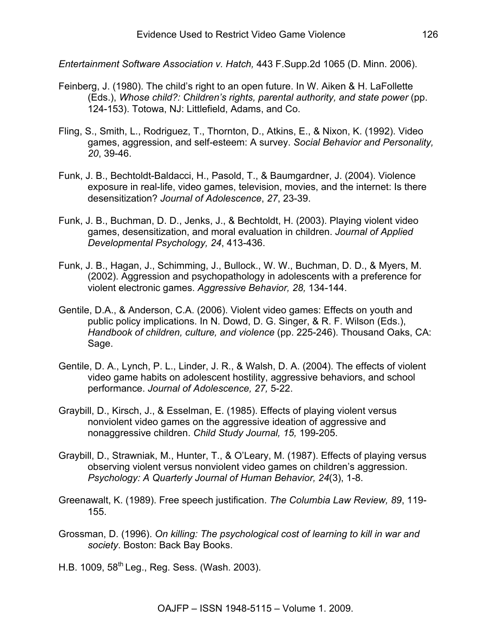*Entertainment Software Association v. Hatch,* 443 F.Supp.2d 1065 (D. Minn. 2006).

- Feinberg, J. (1980). The child's right to an open future. In W. Aiken & H. LaFollette (Eds.), *Whose child?: Children's rights, parental authority, and state power* (pp. 124-153). Totowa, NJ: Littlefield, Adams, and Co.
- Fling, S., Smith, L., Rodriguez, T., Thornton, D., Atkins, E., & Nixon, K. (1992). Video games, aggression, and self-esteem: A survey. *Social Behavior and Personality, 20*, 39-46.
- Funk, J. B., Bechtoldt-Baldacci, H., Pasold, T., & Baumgardner, J. (2004). Violence exposure in real-life, video games, television, movies, and the internet: Is there desensitization? *Journal of Adolescence*, *27*, 23-39.
- Funk, J. B., Buchman, D. D., Jenks, J., & Bechtoldt, H. (2003). Playing violent video games, desensitization, and moral evaluation in children. *Journal of Applied Developmental Psychology, 24*, 413-436.
- Funk, J. B., Hagan, J., Schimming, J., Bullock., W. W., Buchman, D. D., & Myers, M. (2002). Aggression and psychopathology in adolescents with a preference for violent electronic games. *Aggressive Behavior, 28,* 134-144.
- Gentile, D.A., & Anderson, C.A. (2006). Violent video games: Effects on youth and public policy implications. In N. Dowd, D. G. Singer, & R. F. Wilson (Eds.), *Handbook of children, culture, and violence* (pp. 225-246). Thousand Oaks, CA: Sage.
- Gentile, D. A., Lynch, P. L., Linder, J. R., & Walsh, D. A. (2004). The effects of violent video game habits on adolescent hostility, aggressive behaviors, and school performance. *Journal of Adolescence, 27,* 5-22.
- Graybill, D., Kirsch, J., & Esselman, E. (1985). Effects of playing violent versus nonviolent video games on the aggressive ideation of aggressive and nonaggressive children. *Child Study Journal, 15,* 199-205.
- Graybill, D., Strawniak, M., Hunter, T., & O'Leary, M. (1987). Effects of playing versus observing violent versus nonviolent video games on children's aggression. *Psychology: A Quarterly Journal of Human Behavior, 24*(3), 1-8.
- Greenawalt, K. (1989). Free speech justification. *The Columbia Law Review, 89*, 119- 155.
- Grossman, D. (1996). *On killing: The psychological cost of learning to kill in war and society*. Boston: Back Bay Books.
- H.B. 1009, 58<sup>th</sup> Leg., Reg. Sess. (Wash. 2003).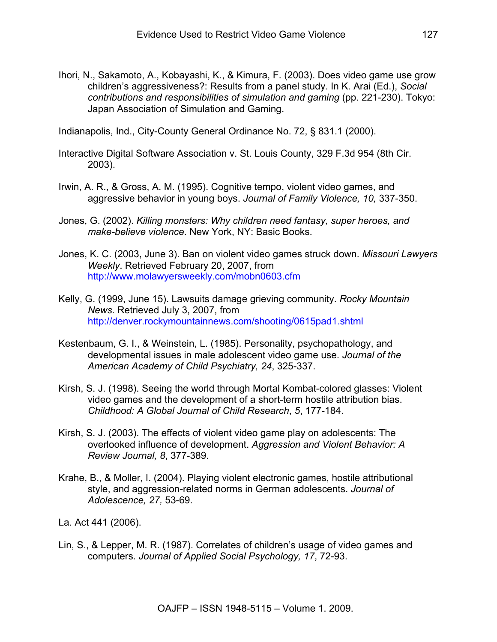Ihori, N., Sakamoto, A., Kobayashi, K., & Kimura, F. (2003). Does video game use grow children's aggressiveness?: Results from a panel study. In K. Arai (Ed.), *Social contributions and responsibilities of simulation and gaming* (pp. 221-230). Tokyo: Japan Association of Simulation and Gaming.

Indianapolis, Ind., City-County General Ordinance No. 72, § 831.1 (2000).

- Interactive Digital Software Association v. St. Louis County, 329 F.3d 954 (8th Cir. 2003).
- Irwin, A. R., & Gross, A. M. (1995). Cognitive tempo, violent video games, and aggressive behavior in young boys. *Journal of Family Violence, 10,* 337-350.
- Jones, G. (2002). *Killing monsters: Why children need fantasy, super heroes, and make-believe violence*. New York, NY: Basic Books.
- Jones, K. C. (2003, June 3). Ban on violent video games struck down. *Missouri Lawyers Weekly*. Retrieved February 20, 2007, from http://www.molawyersweekly.com/mobn0603.cfm
- Kelly, G. (1999, June 15). Lawsuits damage grieving community. *Rocky Mountain News*. Retrieved July 3, 2007, from http://denver.rockymountainnews.com/shooting/0615pad1.shtml
- Kestenbaum, G. I., & Weinstein, L. (1985). Personality, psychopathology, and developmental issues in male adolescent video game use. *Journal of the American Academy of Child Psychiatry, 24*, 325-337.
- Kirsh, S. J. (1998). Seeing the world through Mortal Kombat-colored glasses: Violent video games and the development of a short-term hostile attribution bias. *Childhood: A Global Journal of Child Research*, *5*, 177-184.
- Kirsh, S. J. (2003). The effects of violent video game play on adolescents: The overlooked influence of development. *Aggression and Violent Behavior: A Review Journal, 8*, 377-389.
- Krahe, B., & Moller, I. (2004). Playing violent electronic games, hostile attributional style, and aggression-related norms in German adolescents. *Journal of Adolescence, 27,* 53-69.

La. Act 441 (2006).

Lin, S., & Lepper, M. R. (1987). Correlates of children's usage of video games and computers. *Journal of Applied Social Psychology, 17*, 72-93.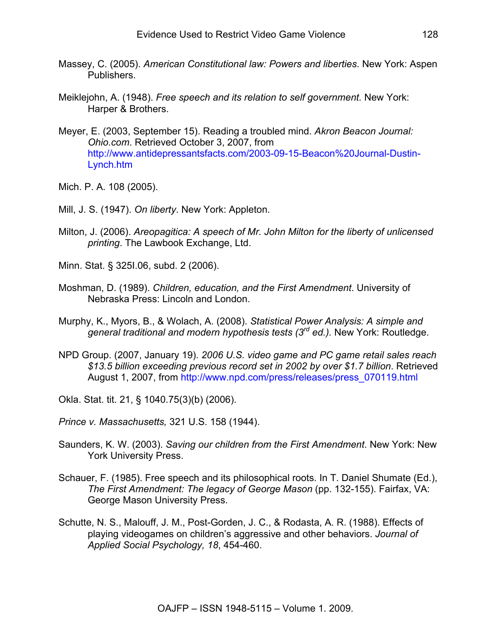- Massey, C. (2005). *American Constitutional law: Powers and liberties*. New York: Aspen Publishers.
- Meiklejohn, A. (1948). *Free speech and its relation to self government.* New York: Harper & Brothers.
- Meyer, E. (2003, September 15). Reading a troubled mind. *Akron Beacon Journal: Ohio.com*. Retrieved October 3, 2007, from http://www.antidepressantsfacts.com/2003-09-15-Beacon%20Journal-Dustin-Lynch.htm

Mich. P. A. 108 (2005).

- Mill, J. S. (1947). *On liberty*. New York: Appleton.
- Milton, J. (2006). *Areopagitica: A speech of Mr. John Milton for the liberty of unlicensed printing*. The Lawbook Exchange, Ltd.

Minn. Stat. § 325I.06, subd. 2 (2006).

- Moshman, D. (1989). *Children, education, and the First Amendment*. University of Nebraska Press: Lincoln and London.
- Murphy, K., Myors, B., & Wolach, A. (2008). *Statistical Power Analysis: A simple and general traditional and modern hypothesis tests (3rd ed.).* New York: Routledge.
- NPD Group. (2007, January 19). *2006 U.S. video game and PC game retail sales reach \$13.5 billion exceeding previous record set in 2002 by over \$1.7 billion*. Retrieved August 1, 2007, from http://www.npd.com/press/releases/press\_070119.html

Okla. Stat. tit. 21, § 1040.75(3)(b) (2006).

*Prince v. Massachusetts,* 321 U.S. 158 (1944).

- Saunders, K. W. (2003). *Saving our children from the First Amendment*. New York: New York University Press.
- Schauer, F. (1985). Free speech and its philosophical roots. In T. Daniel Shumate (Ed.), *The First Amendment: The legacy of George Mason* (pp. 132-155). Fairfax, VA: George Mason University Press.
- Schutte, N. S., Malouff, J. M., Post-Gorden, J. C., & Rodasta, A. R. (1988). Effects of playing videogames on children's aggressive and other behaviors. *Journal of Applied Social Psychology, 18*, 454-460.